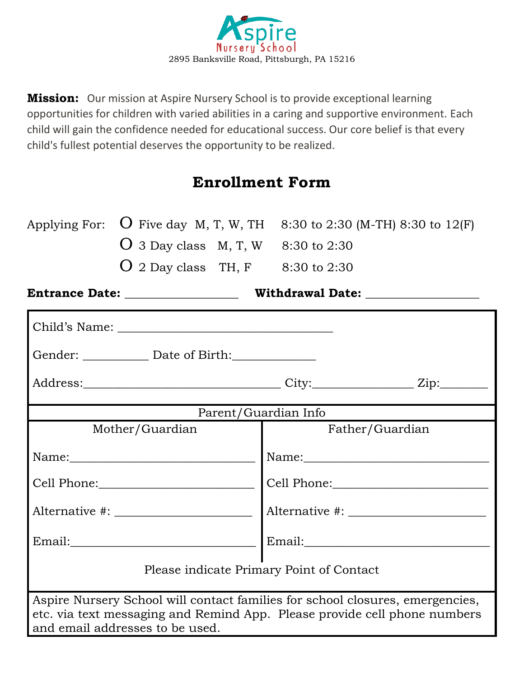

**Mission:** Our mission at Aspire Nursery School is to provide exceptional learning opportunities for children with varied abilities in a caring and supportive environment. Each child will gain the confidence needed for educational success. Our core belief is that every child's fullest potential deserves the opportunity to be realized.

# **Enrollment Form**

|                                                                                                                                                                                               | Applying For: $\bullet$ Five day M, T, W, TH      | 8:30 to 2:30 (M-TH) 8:30 to $12(F)$ |  |  |
|-----------------------------------------------------------------------------------------------------------------------------------------------------------------------------------------------|---------------------------------------------------|-------------------------------------|--|--|
|                                                                                                                                                                                               | $O$ 3 Day class M, T, W 8:30 to 2:30              |                                     |  |  |
|                                                                                                                                                                                               | $O$ 2 Day class TH, F 8:30 to 2:30                |                                     |  |  |
|                                                                                                                                                                                               |                                                   |                                     |  |  |
|                                                                                                                                                                                               |                                                   |                                     |  |  |
|                                                                                                                                                                                               | Gender: ____________ Date of Birth:______________ |                                     |  |  |
|                                                                                                                                                                                               |                                                   |                                     |  |  |
|                                                                                                                                                                                               | Parent/Guardian Info                              |                                     |  |  |
| Mother/Guardian<br>Father/Guardian                                                                                                                                                            |                                                   |                                     |  |  |
|                                                                                                                                                                                               |                                                   |                                     |  |  |
|                                                                                                                                                                                               |                                                   | Cell Phone: Cell Phone: Cell Phone: |  |  |
|                                                                                                                                                                                               |                                                   |                                     |  |  |
|                                                                                                                                                                                               |                                                   |                                     |  |  |
| Please indicate Primary Point of Contact                                                                                                                                                      |                                                   |                                     |  |  |
| Aspire Nursery School will contact families for school closures, emergencies,<br>etc. via text messaging and Remind App. Please provide cell phone numbers<br>and email addresses to be used. |                                                   |                                     |  |  |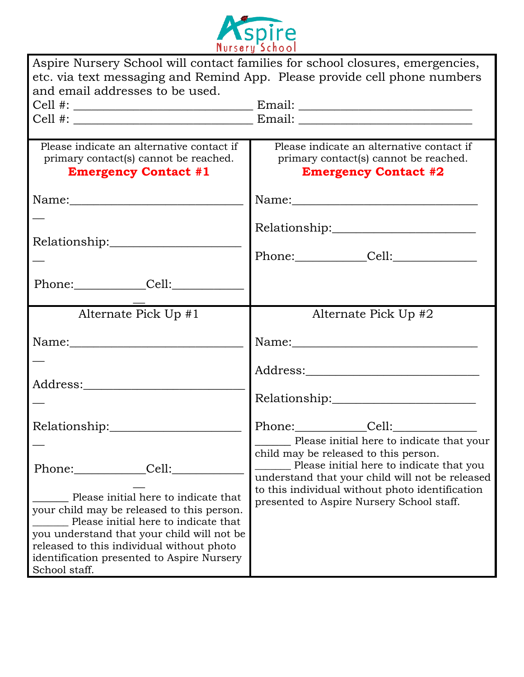

| Aspire Nursery School will contact families for school closures, emergencies, |                                                 |  |  |
|-------------------------------------------------------------------------------|-------------------------------------------------|--|--|
| etc. via text messaging and Remind App. Please provide cell phone numbers     |                                                 |  |  |
| and email addresses to be used.                                               |                                                 |  |  |
|                                                                               |                                                 |  |  |
|                                                                               |                                                 |  |  |
|                                                                               |                                                 |  |  |
| Please indicate an alternative contact if                                     | Please indicate an alternative contact if       |  |  |
| primary contact(s) cannot be reached.                                         | primary contact(s) cannot be reached.           |  |  |
| <b>Emergency Contact #1</b>                                                   | <b>Emergency Contact #2</b>                     |  |  |
|                                                                               |                                                 |  |  |
|                                                                               |                                                 |  |  |
|                                                                               |                                                 |  |  |
|                                                                               |                                                 |  |  |
|                                                                               | Phone: Cell:                                    |  |  |
|                                                                               |                                                 |  |  |
| Phone: Cell:                                                                  |                                                 |  |  |
|                                                                               |                                                 |  |  |
| Alternate Pick Up #1                                                          | Alternate Pick Up #2                            |  |  |
|                                                                               |                                                 |  |  |
|                                                                               |                                                 |  |  |
|                                                                               |                                                 |  |  |
|                                                                               |                                                 |  |  |
|                                                                               |                                                 |  |  |
|                                                                               |                                                 |  |  |
| Relationship:                                                                 | Phone: Cell: Cell:                              |  |  |
|                                                                               | _ Please initial here to indicate that your     |  |  |
|                                                                               | child may be released to this person.           |  |  |
| Cell:<br>Phone:                                                               | Please initial here to indicate that you        |  |  |
|                                                                               | understand that your child will not be released |  |  |
| Please initial here to indicate that                                          | to this individual without photo identification |  |  |
| your child may be released to this person.                                    | presented to Aspire Nursery School staff.       |  |  |
| Please initial here to indicate that                                          |                                                 |  |  |
| you understand that your child will not be                                    |                                                 |  |  |
|                                                                               |                                                 |  |  |
| released to this individual without photo                                     |                                                 |  |  |
| identification presented to Aspire Nursery<br>School staff.                   |                                                 |  |  |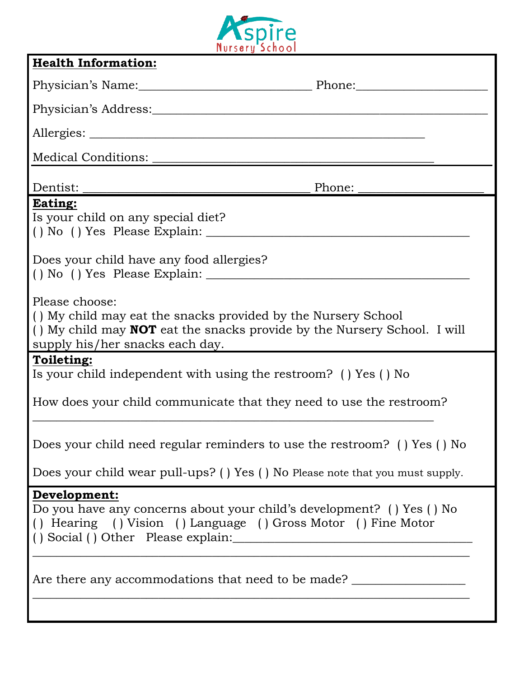

| <b>Health Information:</b>                                                                                                                                                                            |  |  |
|-------------------------------------------------------------------------------------------------------------------------------------------------------------------------------------------------------|--|--|
| Physician's Name: Phone: Phone:                                                                                                                                                                       |  |  |
|                                                                                                                                                                                                       |  |  |
|                                                                                                                                                                                                       |  |  |
| Medical Conditions:                                                                                                                                                                                   |  |  |
|                                                                                                                                                                                                       |  |  |
| Eating:<br>Is your child on any special diet?                                                                                                                                                         |  |  |
| Does your child have any food allergies?                                                                                                                                                              |  |  |
| Please choose:<br>() My child may eat the snacks provided by the Nursery School<br>() My child may <b>NOT</b> eat the snacks provide by the Nursery School. I will<br>supply his/her snacks each day. |  |  |
| Toileting:<br>Is your child independent with using the restroom? () Yes () No                                                                                                                         |  |  |
| How does your child communicate that they need to use the restroom?                                                                                                                                   |  |  |
| Does your child need regular reminders to use the restroom? () Yes () No                                                                                                                              |  |  |
| Does your child wear pull-ups? () Yes () No Please note that you must supply.                                                                                                                         |  |  |
| Development:<br>Do you have any concerns about your child's development? () Yes () No<br>() Hearing () Vision () Language () Gross Motor () Fine Motor                                                |  |  |
| Are there any accommodations that need to be made?                                                                                                                                                    |  |  |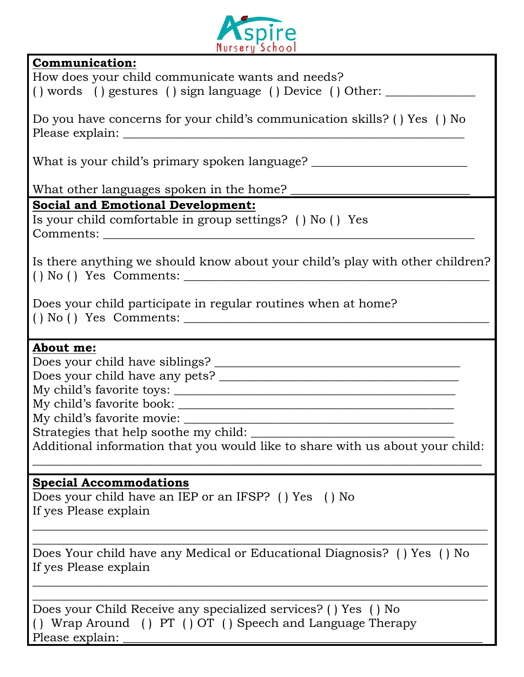

### **Communication:**

| How does your child communicate wants and needs?          |  |
|-----------------------------------------------------------|--|
| () words () gestures () sign language () Device () Other: |  |

Do you have concerns for your child's communication skills? ( ) Yes ( ) No Please explain:

What is your child's primary spoken language?

What other languages spoken in the home?

# **Social and Emotional Development:**

```
Is your child comfortable in group settings? ( ) No ( ) Yes 
Comments:
```
Is there anything we should know about your child's play with other children?  $( )$  No  $( )$  Yes Comments:

Does your child participate in regular routines when at home?  $( )$  No  $( )$  Yes Comments:

### **About me:**

Does your child have siblings? \_\_\_\_\_\_\_\_\_\_\_\_\_\_\_\_\_\_\_\_\_\_\_\_\_\_\_\_\_\_\_\_\_\_\_\_\_\_\_\_\_

Does your child have any pets? \_\_\_\_\_\_\_\_\_\_\_\_\_\_\_\_\_\_\_\_\_\_\_\_\_\_\_\_\_\_\_\_\_\_\_\_\_\_\_\_

My child's favorite toys: \_\_\_\_\_\_\_\_\_\_\_\_\_\_\_\_\_\_\_\_\_\_\_\_\_\_\_\_\_\_\_\_\_\_\_\_\_\_\_\_\_\_\_\_\_\_\_

My child's favorite book: \_\_\_\_\_\_\_\_\_\_\_\_\_\_\_\_\_\_\_\_\_\_\_\_\_\_\_\_\_\_\_\_\_\_\_\_\_\_\_\_\_\_\_\_\_\_

My child's favorite movie:

Strategies that help soothe my child:

Additional information that you would like to share with us about your child: \_\_\_\_\_\_\_\_\_\_\_\_\_\_\_\_\_\_\_\_\_\_\_\_\_\_\_\_\_\_\_\_\_\_\_\_\_\_\_\_\_\_\_\_\_\_\_\_\_\_\_\_\_\_\_\_\_\_\_\_\_\_\_\_\_\_\_\_\_\_\_\_\_\_\_

### **Special Accommodations**

Does your child have an IEP or an IFSP? ( ) Yes ( ) No If yes Please explain

Does Your child have any Medical or Educational Diagnosis? ( ) Yes ( ) No If yes Please explain

\_\_\_\_\_\_\_\_\_\_\_\_\_\_\_\_\_\_\_\_\_\_\_\_\_\_\_\_\_\_\_\_\_\_\_\_\_\_\_\_\_\_\_\_\_\_\_\_\_\_\_\_\_\_\_\_\_\_\_\_\_\_\_\_\_\_\_\_\_\_\_\_\_\_\_\_ \_\_\_\_\_\_\_\_\_\_\_\_\_\_\_\_\_\_\_\_\_\_\_\_\_\_\_\_\_\_\_\_\_\_\_\_\_\_\_\_\_\_\_\_\_\_\_\_\_\_\_\_\_\_\_\_\_\_\_\_\_\_\_\_\_\_\_\_\_\_\_\_\_\_\_\_

\_\_\_\_\_\_\_\_\_\_\_\_\_\_\_\_\_\_\_\_\_\_\_\_\_\_\_\_\_\_\_\_\_\_\_\_\_\_\_\_\_\_\_\_\_\_\_\_\_\_\_\_\_\_\_\_\_\_\_\_\_\_\_\_\_\_\_\_\_\_\_\_\_\_\_\_ \_\_\_\_\_\_\_\_\_\_\_\_\_\_\_\_\_\_\_\_\_\_\_\_\_\_\_\_\_\_\_\_\_\_\_\_\_\_\_\_\_\_\_\_\_\_\_\_\_\_\_\_\_\_\_\_\_\_\_\_\_\_\_\_\_\_\_\_\_\_\_\_\_\_\_\_

Does your Child Receive any specialized services? ( ) Yes ( ) No ( ) Wrap Around ( ) PT ( ) OT ( ) Speech and Language Therapy Please explain: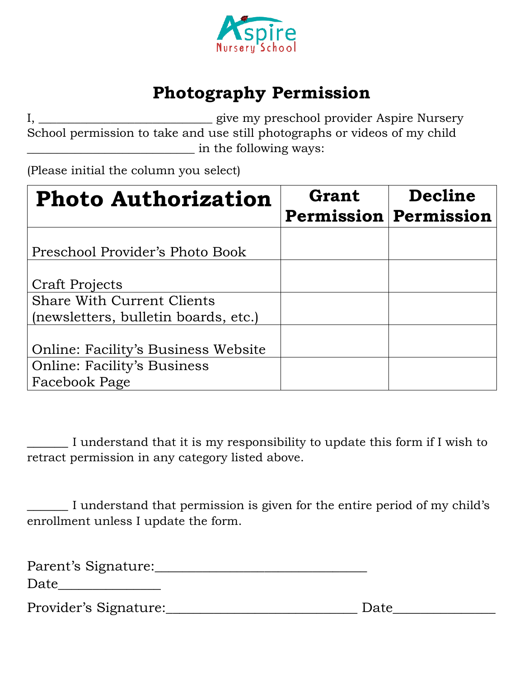

# **Photography Permission**

I, \_\_\_\_\_\_\_\_\_\_\_\_\_\_\_\_\_\_\_\_\_\_\_\_\_\_\_\_\_\_\_\_\_\_ give my preschool provider Aspire Nursery School permission to take and use still photographs or videos of my child \_\_\_\_\_\_\_\_\_\_\_\_\_\_\_\_\_\_\_\_\_\_\_\_\_\_\_\_ in the following ways:

(Please initial the column you select)

| <b>Photo Authorization</b>                 | Grant<br><b>Permission Permission</b> | Decline |
|--------------------------------------------|---------------------------------------|---------|
| Preschool Provider's Photo Book            |                                       |         |
| Craft Projects                             |                                       |         |
| <b>Share With Current Clients</b>          |                                       |         |
| (newsletters, bulletin boards, etc.)       |                                       |         |
| <b>Online: Facility's Business Website</b> |                                       |         |
| <b>Online: Facility's Business</b>         |                                       |         |
| Facebook Page                              |                                       |         |

\_\_\_\_\_\_ I understand that it is my responsibility to update this form if I wish to retract permission in any category listed above.

\_\_\_\_\_\_ I understand that permission is given for the entire period of my child's enrollment unless I update the form.

| Parent's Signature:   |      |
|-----------------------|------|
| Date                  |      |
| Provider's Signature: | Date |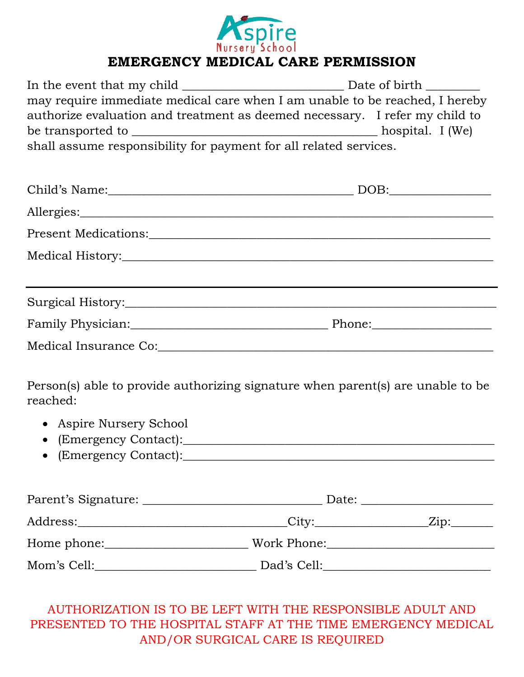

# **EMERGENCY MEDICAL CARE PERMISSION**

| may require immediate medical care when I am unable to be reached, I hereby                                    |  |  |
|----------------------------------------------------------------------------------------------------------------|--|--|
| authorize evaluation and treatment as deemed necessary. I refer my child to                                    |  |  |
|                                                                                                                |  |  |
| shall assume responsibility for payment for all related services.                                              |  |  |
|                                                                                                                |  |  |
|                                                                                                                |  |  |
|                                                                                                                |  |  |
|                                                                                                                |  |  |
|                                                                                                                |  |  |
|                                                                                                                |  |  |
|                                                                                                                |  |  |
| Family Physician: Phone: Phone:                                                                                |  |  |
|                                                                                                                |  |  |
|                                                                                                                |  |  |
| Person(s) able to provide authorizing signature when parent(s) are unable to be<br>reached:                    |  |  |
| • Aspire Nursery School                                                                                        |  |  |
|                                                                                                                |  |  |
| • (Emergency Contact): 2008 2009 2012 2023 2024 2024 2022 2023 2024 2022 2023 2024 2022 2023 2024 2025 2026 20 |  |  |
|                                                                                                                |  |  |
|                                                                                                                |  |  |
|                                                                                                                |  |  |
|                                                                                                                |  |  |
| Mom's Cell: Dad's Cell:                                                                                        |  |  |

AUTHORIZATION IS TO BE LEFT WITH THE RESPONSIBLE ADULT AND PRESENTED TO THE HOSPITAL STAFF AT THE TIME EMERGENCY MEDICAL AND/OR SURGICAL CARE IS REQUIRED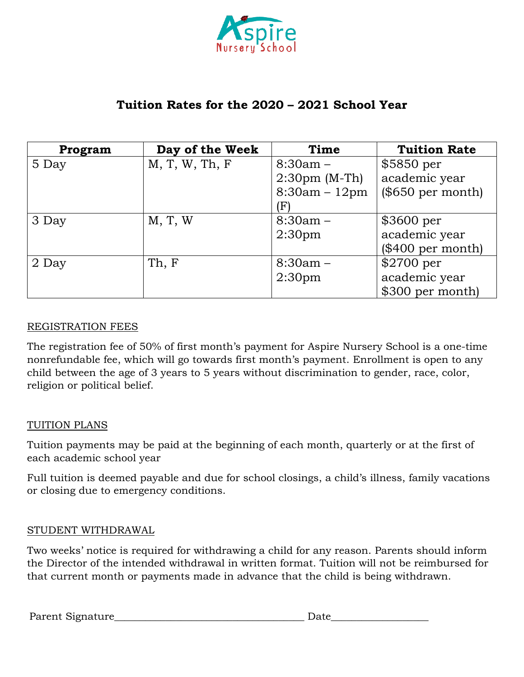

# **Tuition Rates for the 2020 – 2021 School Year**

| Program | Day of the Week | Time                    | <b>Tuition Rate</b>  |
|---------|-----------------|-------------------------|----------------------|
| 5 Day   | M, T, W, Th, F  | $8:30am -$              | $$5850~\text{per}$   |
|         |                 | $2:30 \text{pm}$ (M-Th) | academic year        |
|         |                 | $8:30am - 12pm$         | $(\$650$ per month)  |
|         |                 | (F)                     |                      |
| 3 Day   | M, T, W         | $8:30am -$              | $$3600~\mathrm{per}$ |
|         |                 | 2:30 <sub>pm</sub>      | academic year        |
|         |                 |                         | $(\$400$ per month)  |
| 2 Day   | Th, F           | $8:30am -$              | $$2700~\mathrm{per}$ |
|         |                 | 2:30 <sub>pm</sub>      | academic year        |
|         |                 |                         | \$300 per month)     |

#### REGISTRATION FEES

The registration fee of 50% of first month's payment for Aspire Nursery School is a one-time nonrefundable fee, which will go towards first month's payment. Enrollment is open to any child between the age of 3 years to 5 years without discrimination to gender, race, color, religion or political belief.

#### TUITION PLANS

Tuition payments may be paid at the beginning of each month, quarterly or at the first of each academic school year

Full tuition is deemed payable and due for school closings, a child's illness, family vacations or closing due to emergency conditions.

#### STUDENT WITHDRAWAL

Two weeks' notice is required for withdrawing a child for any reason. Parents should inform the Director of the intended withdrawal in written format. Tuition will not be reimbursed for that current month or payments made in advance that the child is being withdrawn.

Parent Signature\_\_\_\_\_\_\_\_\_\_\_\_\_\_\_\_\_\_\_\_\_\_\_\_\_\_\_\_\_\_\_\_\_\_\_\_\_ Date\_\_\_\_\_\_\_\_\_\_\_\_\_\_\_\_\_\_\_